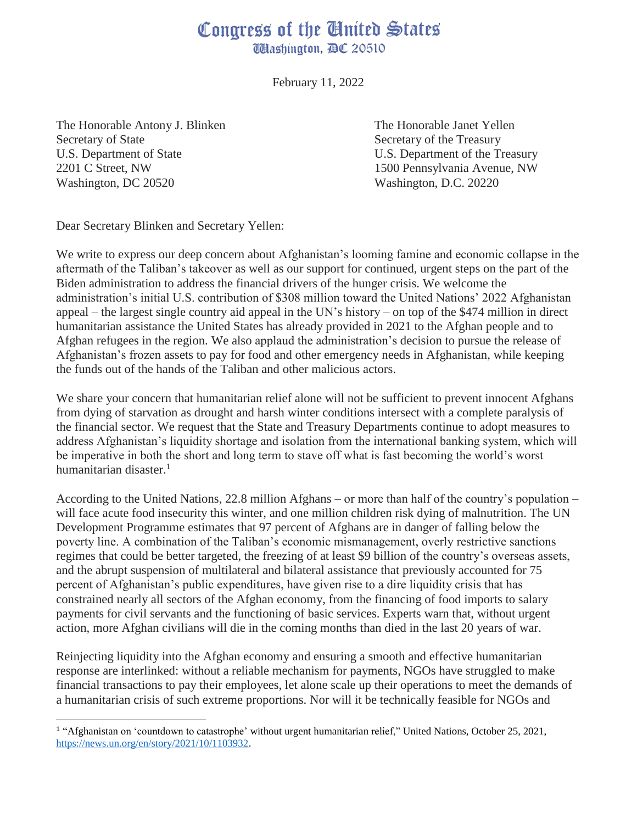## Congress of the Cinited States *UHashington, BC 20510*

February 11, 2022

The Honorable Antony J. Blinken Secretary of State U.S. Department of State 2201 C Street, NW Washington, DC 20520

The Honorable Janet Yellen Secretary of the Treasury U.S. Department of the Treasury 1500 Pennsylvania Avenue, NW Washington, D.C. 20220

Dear Secretary Blinken and Secretary Yellen:

We write to express our deep concern about Afghanistan's looming famine and economic collapse in the aftermath of the Taliban's takeover as well as our support for continued, urgent steps on the part of the Biden administration to address the financial drivers of the hunger crisis. We welcome the administration's initial U.S. contribution of \$308 million toward the United Nations' 2022 Afghanistan appeal – the largest single country aid appeal in the UN's history – on top of the \$474 million in direct humanitarian assistance the United States has already provided in 2021 to the Afghan people and to Afghan refugees in the region. We also applaud the administration's decision to pursue the release of Afghanistan's frozen assets to pay for food and other emergency needs in Afghanistan, while keeping the funds out of the hands of the Taliban and other malicious actors.

We share your concern that humanitarian relief alone will not be sufficient to prevent innocent Afghans from dying of starvation as drought and harsh winter conditions intersect with a complete paralysis of the financial sector. We request that the State and Treasury Departments continue to adopt measures to address Afghanistan's liquidity shortage and isolation from the international banking system, which will be imperative in both the short and long term to stave off what is fast becoming the world's worst humanitarian disaster.<sup>1</sup>

According to the United Nations, 22.8 million Afghans – or more than half of the country's population – will face acute food insecurity this winter, and one million children risk dying of malnutrition. The UN Development Programme estimates that 97 percent of Afghans are in danger of falling below the poverty line. A combination of the Taliban's economic mismanagement, overly restrictive sanctions regimes that could be better targeted, the freezing of at least \$9 billion of the country's overseas assets, and the abrupt suspension of multilateral and bilateral assistance that previously accounted for 75 percent of Afghanistan's public expenditures, have given rise to a dire liquidity crisis that has constrained nearly all sectors of the Afghan economy, from the financing of food imports to salary payments for civil servants and the functioning of basic services. Experts warn that, without urgent action, more Afghan civilians will die in the coming months than died in the last 20 years of war.

Reinjecting liquidity into the Afghan economy and ensuring a smooth and effective humanitarian response are interlinked: without a reliable mechanism for payments, NGOs have struggled to make financial transactions to pay their employees, let alone scale up their operations to meet the demands of a humanitarian crisis of such extreme proportions. Nor will it be technically feasible for NGOs and

<sup>1</sup> "Afghanistan on 'countdown to catastrophe' without urgent humanitarian relief," United Nations, October 25, 2021, [https://news.un.org/en/story/2021/10/1103932.](https://news.un.org/en/story/2021/10/1103932)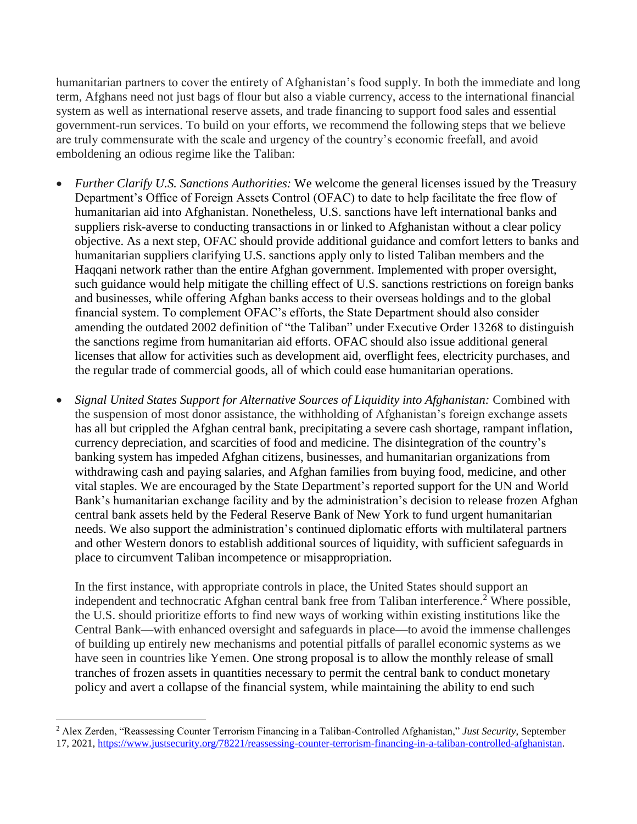humanitarian partners to cover the entirety of Afghanistan's food supply. In both the immediate and long term, Afghans need not just bags of flour but also a viable currency, access to the international financial system as well as international reserve assets, and trade financing to support food sales and essential government-run services. To build on your efforts, we recommend the following steps that we believe are truly commensurate with the scale and urgency of the country's economic freefall, and avoid emboldening an odious regime like the Taliban:

- *Further Clarify U.S. Sanctions Authorities:* We welcome the general licenses issued by the Treasury Department's Office of Foreign Assets Control (OFAC) to date to help facilitate the free flow of humanitarian aid into Afghanistan. Nonetheless, U.S. sanctions have left international banks and suppliers risk-averse to conducting transactions in or linked to Afghanistan without a clear policy objective. As a next step, OFAC should provide additional guidance and comfort letters to banks and humanitarian suppliers clarifying U.S. sanctions apply only to listed Taliban members and the Haqqani network rather than the entire Afghan government. Implemented with proper oversight, such guidance would help mitigate the chilling effect of U.S. sanctions restrictions on foreign banks and businesses, while offering Afghan banks access to their overseas holdings and to the global financial system. To complement OFAC's efforts, the State Department should also consider amending the outdated 2002 definition of "the Taliban" under Executive Order 13268 to distinguish the sanctions regime from humanitarian aid efforts. OFAC should also issue additional general licenses that allow for activities such as development aid, overflight fees, electricity purchases, and the regular trade of commercial goods, all of which could ease humanitarian operations.
- *Signal United States Support for Alternative Sources of Liquidity into Afghanistan:* Combined with the suspension of most donor assistance, the withholding of Afghanistan's foreign exchange assets has all but crippled the Afghan central bank, precipitating a severe cash shortage, rampant inflation, currency depreciation, and scarcities of food and medicine. The disintegration of the country's banking system has impeded Afghan citizens, businesses, and humanitarian organizations from withdrawing cash and paying salaries, and Afghan families from buying food, medicine, and other vital staples. We are encouraged by the State Department's reported support for the UN and World Bank's humanitarian exchange facility and by the administration's decision to release frozen Afghan central bank assets held by the Federal Reserve Bank of New York to fund urgent humanitarian needs. We also support the administration's continued diplomatic efforts with multilateral partners and other Western donors to establish additional sources of liquidity, with sufficient safeguards in place to circumvent Taliban incompetence or misappropriation.

In the first instance, with appropriate controls in place, the United States should support an independent and technocratic Afghan central bank free from Taliban interference. <sup>2</sup> Where possible, the U.S. should prioritize efforts to find new ways of working within existing institutions like the Central Bank—with enhanced oversight and safeguards in place—to avoid the immense challenges of building up entirely new mechanisms and potential pitfalls of parallel economic systems as we have seen in countries like Yemen. One strong proposal is to allow the monthly release of small tranches of frozen assets in quantities necessary to permit the central bank to conduct monetary policy and avert a collapse of the financial system, while maintaining the ability to end such

<sup>2</sup> Alex Zerden, "Reassessing Counter Terrorism Financing in a Taliban-Controlled Afghanistan," *Just Security*, September 17, 2021, [https://www.justsecurity.org/78221/reassessing-counter-terrorism-financing-in-a-taliban-controlled-afghanistan.](https://www.justsecurity.org/78221/reassessing-counter-terrorism-financing-in-a-taliban-controlled-afghanistan)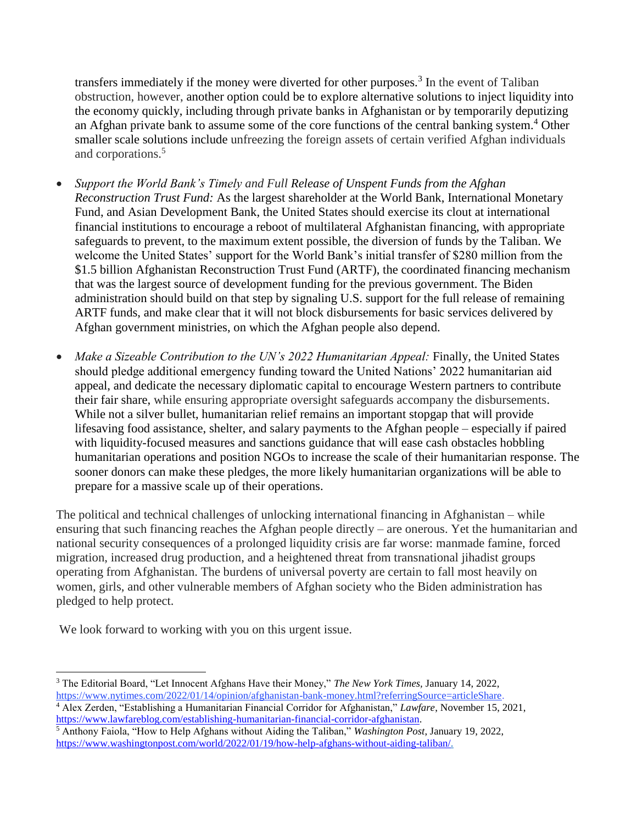transfers immediately if the money were diverted for other purposes.<sup>3</sup> In the event of Taliban obstruction, however, another option could be to explore alternative solutions to inject liquidity into the economy quickly, including through private banks in Afghanistan or by temporarily deputizing an Afghan private bank to assume some of the core functions of the central banking system.<sup>4</sup> Other smaller scale solutions include unfreezing the foreign assets of certain verified Afghan individuals and corporations. 5

- *Support the World Bank's Timely and Full Release of Unspent Funds from the Afghan Reconstruction Trust Fund:* As the largest shareholder at the World Bank, International Monetary Fund, and Asian Development Bank, the United States should exercise its clout at international financial institutions to encourage a reboot of multilateral Afghanistan financing, with appropriate safeguards to prevent, to the maximum extent possible, the diversion of funds by the Taliban. We welcome the United States' support for the World Bank's initial transfer of \$280 million from the \$1.5 billion Afghanistan Reconstruction Trust Fund (ARTF), the coordinated financing mechanism that was the largest source of development funding for the previous government. The Biden administration should build on that step by signaling U.S. support for the full release of remaining ARTF funds, and make clear that it will not block disbursements for basic services delivered by Afghan government ministries, on which the Afghan people also depend.
- *Make a Sizeable Contribution to the UN's 2022 Humanitarian Appeal:* Finally, the United States should pledge additional emergency funding toward the United Nations' 2022 humanitarian aid appeal, and dedicate the necessary diplomatic capital to encourage Western partners to contribute their fair share, while ensuring appropriate oversight safeguards accompany the disbursements. While not a silver bullet, humanitarian relief remains an important stopgap that will provide lifesaving food assistance, shelter, and salary payments to the Afghan people – especially if paired with liquidity-focused measures and sanctions guidance that will ease cash obstacles hobbling humanitarian operations and position NGOs to increase the scale of their humanitarian response. The sooner donors can make these pledges, the more likely humanitarian organizations will be able to prepare for a massive scale up of their operations.

The political and technical challenges of unlocking international financing in Afghanistan – while ensuring that such financing reaches the Afghan people directly – are onerous. Yet the humanitarian and national security consequences of a prolonged liquidity crisis are far worse: manmade famine, forced migration, increased drug production, and a heightened threat from transnational jihadist groups operating from Afghanistan. The burdens of universal poverty are certain to fall most heavily on women, girls, and other vulnerable members of Afghan society who the Biden administration has pledged to help protect.

We look forward to working with you on this urgent issue.

[https://www.lawfareblog.com/establishing-humanitarian-financial-corridor-afghanistan.](https://www.lawfareblog.com/establishing-humanitarian-financial-corridor-afghanistan) 

 $\overline{a}$ <sup>3</sup> The Editorial Board, "Let Innocent Afghans Have their Money," *The New York Times,* January 14, 2022, [https://www.nytimes.com/2022/01/14/opinion/afghanistan-bank-money.html?referringSource=articleShare.](https://www.nytimes.com/2022/01/14/opinion/afghanistan-bank-money.html?referringSource=articleShare) <sup>4</sup> Alex Zerden, "Establishing a Humanitarian Financial Corridor for Afghanistan," *Lawfare*, November 15, 2021,

<sup>5</sup> Anthony Faiola, "How to Help Afghans without Aiding the Taliban," *Washington Post*, January 19, 2022, [https://www.washingtonpost.com/world/2022/01/19/how-help-afghans-without-aiding-taliban/.](https://www.washingtonpost.com/world/2022/01/19/how-help-afghans-without-aiding-taliban/)